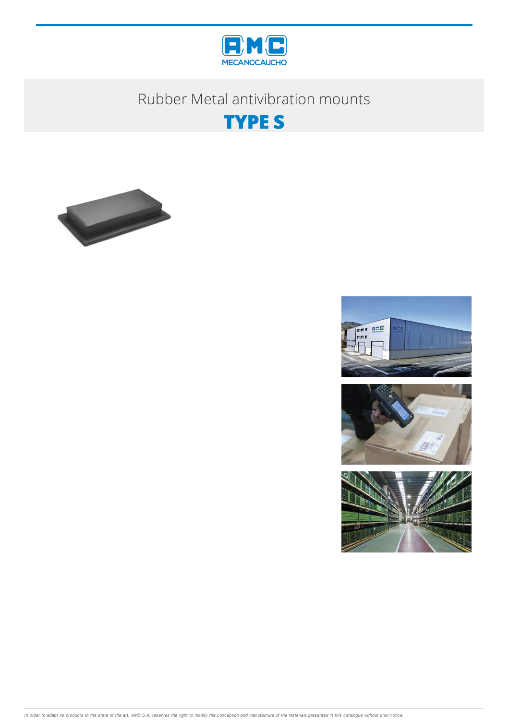

# Rubber Metal antivibration mounts





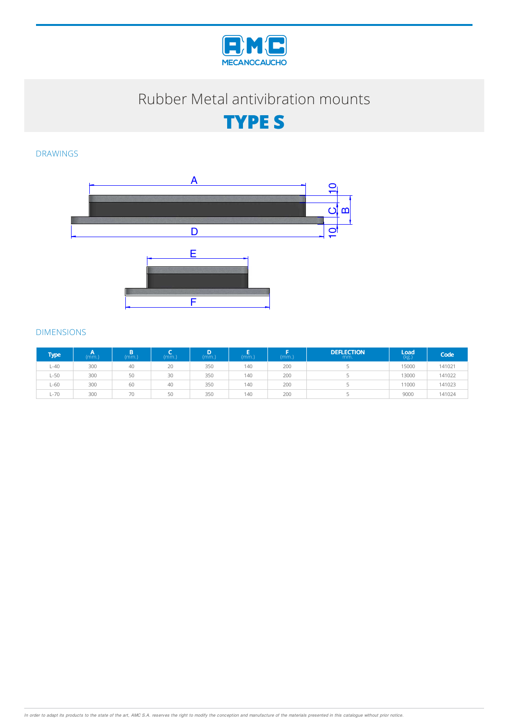

# Rubber Metal antivibration mounts

**TYPE S**

### DRAWINGS



#### DIMENSIONS

| <b>Type</b> | (mm.) | B<br>(mm.) | mm.) | D.<br>(mm.) | (mm.) | (mm.) | <b>DEFLECTION</b><br>mm. | Load<br>(kg.) | Code   |
|-------------|-------|------------|------|-------------|-------|-------|--------------------------|---------------|--------|
| $L - 40$    | 300   | 40         | 20   | 350         | 140   | 200   |                          | 15000         | 141021 |
| $L-50$      | 300   | 50         | 30   | 350         | 140   | 200   |                          | 13000         | 141022 |
| $L-60$      | 300   | 60         | 40   | 350         | 140   | 200   |                          | 11000         | 141023 |
| $L - 70$    | 300   | 70         | 50   | 350         | 140   | 200   |                          | 9000          | 141024 |